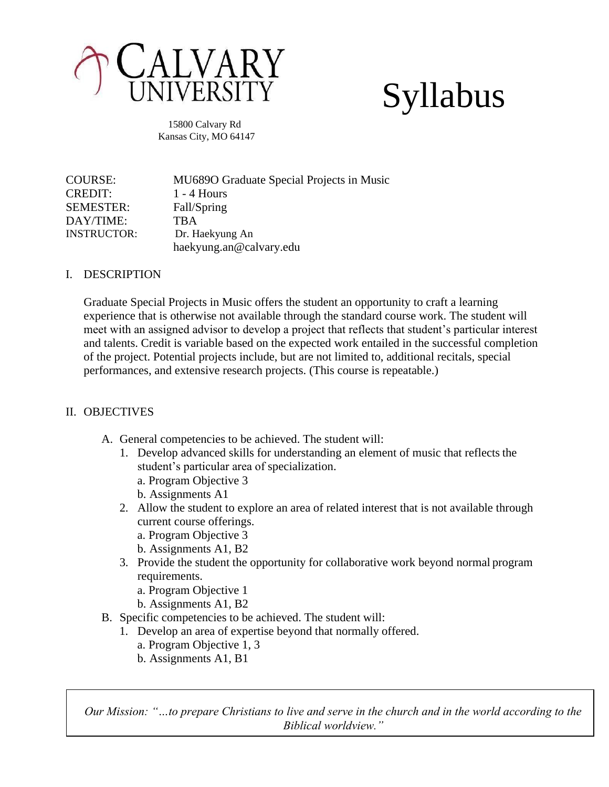

# Syllabus

15800 Calvary Rd Kansas City, MO 64147

COURSE: MU689O Graduate Special Projects in Music CREDIT: 1 - 4 Hours SEMESTER: Fall/Spring DAY/TIME: TBA INSTRUCTOR: Dr. Haekyung An haekyung.an@calvary.edu

### I. DESCRIPTION

Graduate Special Projects in Music offers the student an opportunity to craft a learning experience that is otherwise not available through the standard course work. The student will meet with an assigned advisor to develop a project that reflects that student's particular interest and talents. Credit is variable based on the expected work entailed in the successful completion of the project. Potential projects include, but are not limited to, additional recitals, special performances, and extensive research projects. (This course is repeatable.)

## II. OBJECTIVES

- A. General competencies to be achieved. The student will:
	- 1. Develop advanced skills for understanding an element of music that reflects the student's particular area of specialization.
		- a. Program Objective 3
		- b. Assignments A1
	- 2. Allow the student to explore an area of related interest that is not available through current course offerings.
		- a. Program Objective 3
		- b. Assignments A1, B2
	- 3. Provide the student the opportunity for collaborative work beyond normal program requirements.
		- a. Program Objective 1
		- b. Assignments A1, B2
- B. Specific competencies to be achieved. The student will:
	- 1. Develop an area of expertise beyond that normally offered.
		- a. Program Objective 1, 3
		- b. Assignments A1, B1

*Our Mission: "…to prepare Christians to live and serve in the church and in the world according to the Biblical worldview."*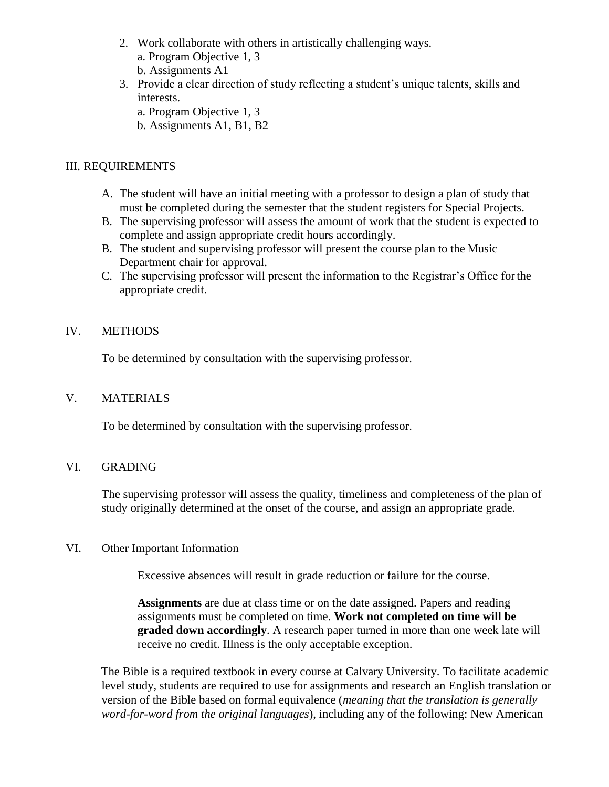- 2. Work collaborate with others in artistically challenging ways. a. Program Objective 1, 3
	- b. Assignments A1
- 3. Provide a clear direction of study reflecting a student's unique talents, skills and interests.
	- a. Program Objective 1, 3
	- b. Assignments A1, B1, B2

## III. REQUIREMENTS

- A. The student will have an initial meeting with a professor to design a plan of study that must be completed during the semester that the student registers for Special Projects.
- B. The supervising professor will assess the amount of work that the student is expected to complete and assign appropriate credit hours accordingly.
- B. The student and supervising professor will present the course plan to the Music Department chair for approval.
- C. The supervising professor will present the information to the Registrar's Office forthe appropriate credit.

## IV. METHODS

To be determined by consultation with the supervising professor.

### V. MATERIALS

To be determined by consultation with the supervising professor.

### VI. GRADING

The supervising professor will assess the quality, timeliness and completeness of the plan of study originally determined at the onset of the course, and assign an appropriate grade.

### VI. Other Important Information

Excessive absences will result in grade reduction or failure for the course.

**Assignments** are due at class time or on the date assigned. Papers and reading assignments must be completed on time. **Work not completed on time will be graded down accordingly**. A research paper turned in more than one week late will receive no credit. Illness is the only acceptable exception.

The Bible is a required textbook in every course at Calvary University. To facilitate academic level study, students are required to use for assignments and research an English translation or version of the Bible based on formal equivalence (*meaning that the translation is generally word-for-word from the original languages*), including any of the following: New American